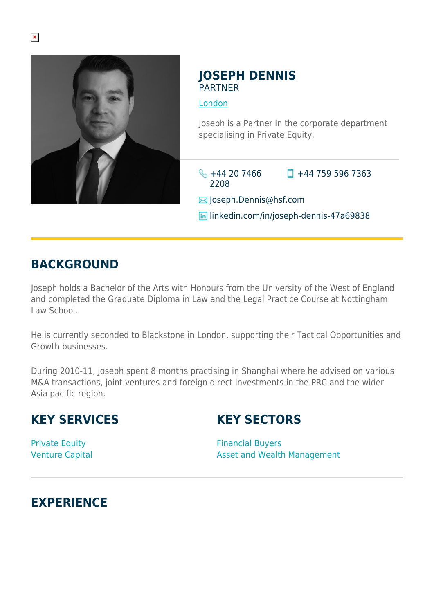

#### **JOSEPH DENNIS PARTNER**

[London](https://www.herbertsmithfreehills.com/where-we-work/london)

Joseph is a Partner in the corporate department specialising in Private Equity.

 $\frac{1}{2}$  +44 20 7466 2208  $\Box$  +44 759 596 7363

 $\boxtimes$  Joseph.Dennis@hsf.com

**in** linkedin.com/in/joseph-dennis-47a69838

## **BACKGROUND**

Joseph holds a Bachelor of the Arts with Honours from the University of the West of England and completed the Graduate Diploma in Law and the Legal Practice Course at Nottingham Law School.

He is currently seconded to Blackstone in London, supporting their Tactical Opportunities and Growth businesses.

During 2010-11, Joseph spent 8 months practising in Shanghai where he advised on various M&A transactions, joint ventures and foreign direct investments in the PRC and the wider Asia pacific region.

# **KEY SERVICES**

# **KEY SECTORS**

Private Equity Venture Capital

Financial Buyers Asset and Wealth Management

## **EXPERIENCE**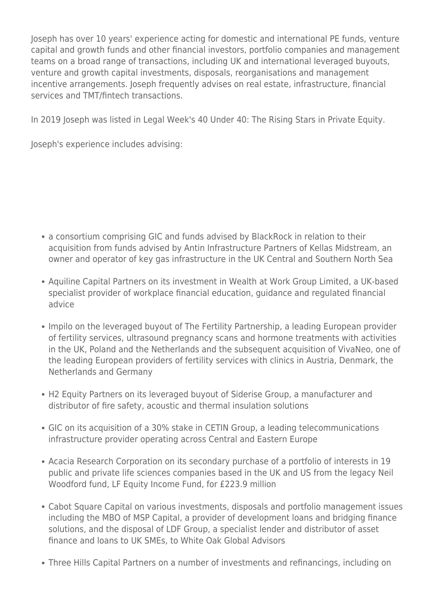Joseph has over 10 years' experience acting for domestic and international PE funds, venture capital and growth funds and other financial investors, portfolio companies and management teams on a broad range of transactions, including UK and international leveraged buyouts, venture and growth capital investments, disposals, reorganisations and management incentive arrangements. Joseph frequently advises on real estate, infrastructure, financial services and TMT/fintech transactions.

In 2019 Joseph was listed in Legal Week's 40 Under 40: The Rising Stars in Private Equity.

Joseph's experience includes advising:

- a consortium comprising GIC and funds advised by BlackRock in relation to their acquisition from funds advised by Antin Infrastructure Partners of Kellas Midstream, an owner and operator of key gas infrastructure in the UK Central and Southern North Sea
- Aquiline Capital Partners on its investment in Wealth at Work Group Limited, a UK-based specialist provider of workplace financial education, guidance and regulated financial advice
- Impilo on the leveraged buyout of The Fertility Partnership, a leading European provider of fertility services, ultrasound pregnancy scans and hormone treatments with activities in the UK, Poland and the Netherlands and the subsequent acquisition of VivaNeo, one of the leading European providers of fertility services with clinics in Austria, Denmark, the Netherlands and Germany
- H2 Equity Partners on its leveraged buyout of Siderise Group, a manufacturer and distributor of fire safety, acoustic and thermal insulation solutions
- GIC on its acquisition of a 30% stake in CETIN Group, a leading telecommunications infrastructure provider operating across Central and Eastern Europe
- Acacia Research Corporation on its secondary purchase of a portfolio of interests in 19 public and private life sciences companies based in the UK and US from the legacy Neil Woodford fund, LF Equity Income Fund, for £223.9 million
- Cabot Square Capital on various investments, disposals and portfolio management issues including the MBO of MSP Capital, a provider of development loans and bridging finance solutions, and the disposal of LDF Group, a specialist lender and distributor of asset finance and loans to UK SMEs, to White Oak Global Advisors
- Three Hills Capital Partners on a number of investments and refinancings, including on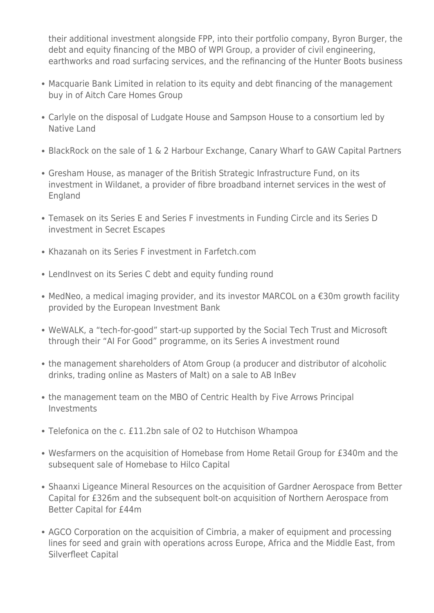their additional investment alongside FPP, into their portfolio company, Byron Burger, the debt and equity financing of the MBO of WPI Group, a provider of civil engineering, earthworks and road surfacing services, and the refinancing of the Hunter Boots business

- Macquarie Bank Limited in relation to its equity and debt financing of the management buy in of Aitch Care Homes Group
- Carlyle on the disposal of Ludgate House and Sampson House to a consortium led by Native Land
- BlackRock on the sale of 1 & 2 Harbour Exchange, Canary Wharf to GAW Capital Partners
- Gresham House, as manager of the British Strategic Infrastructure Fund, on its investment in Wildanet, a provider of fibre broadband internet services in the west of England
- Temasek on its Series E and Series F investments in Funding Circle and its Series D investment in Secret Escapes
- Khazanah on its Series F investment in Farfetch.com
- LendInvest on its Series C debt and equity funding round
- MedNeo, a medical imaging provider, and its investor MARCOL on a €30m growth facility provided by the European Investment Bank
- WeWALK, a "tech-for-good" start-up supported by the Social Tech Trust and Microsoft through their "AI For Good" programme, on its Series A investment round
- the management shareholders of Atom Group (a producer and distributor of alcoholic drinks, trading online as Masters of Malt) on a sale to AB InBev
- the management team on the MBO of Centric Health by Five Arrows Principal Investments
- Telefonica on the c. £11.2bn sale of O2 to Hutchison Whampoa
- Wesfarmers on the acquisition of Homebase from Home Retail Group for £340m and the subsequent sale of Homebase to Hilco Capital
- Shaanxi Ligeance Mineral Resources on the acquisition of Gardner Aerospace from Better Capital for £326m and the subsequent bolt-on acquisition of Northern Aerospace from Better Capital for £44m
- AGCO Corporation on the acquisition of Cimbria, a maker of equipment and processing lines for seed and grain with operations across Europe, Africa and the Middle East, from Silverfleet Capital